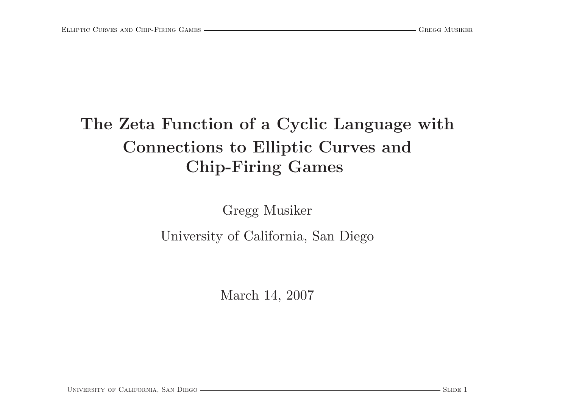## The Zeta Function of <sup>a</sup> Cyclic Language with Connections to Elliptic Curves and Chip-Firing Games

Gregg Musiker

University of California, San Diego

March 14, 2007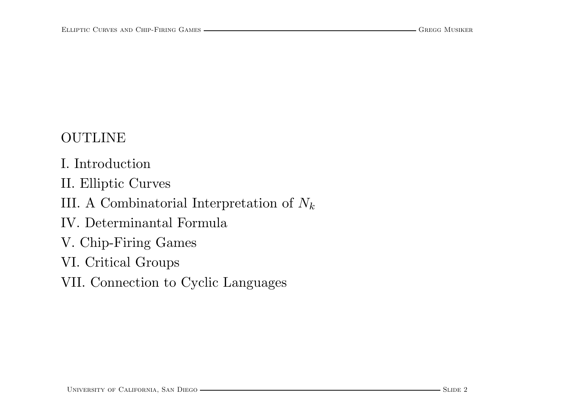## OUTLINE

- I. Introduction
- II. Elliptic Curves
- III. A Combinatorial Interpretation of  $N_k$
- IV. Determinantal Formula
- V. Chip-Firing Games
- VI. Critical Groups
- VII. Connection to Cyclic Languages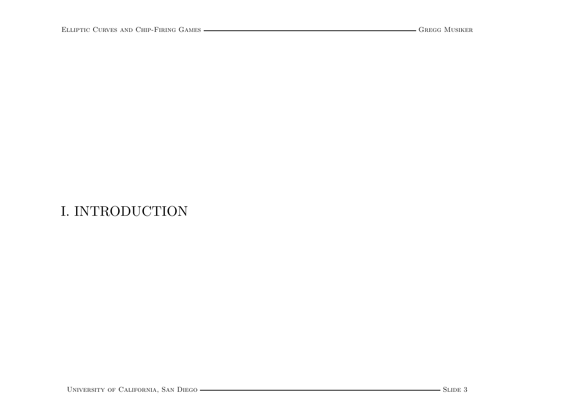### I. INTRODUCTION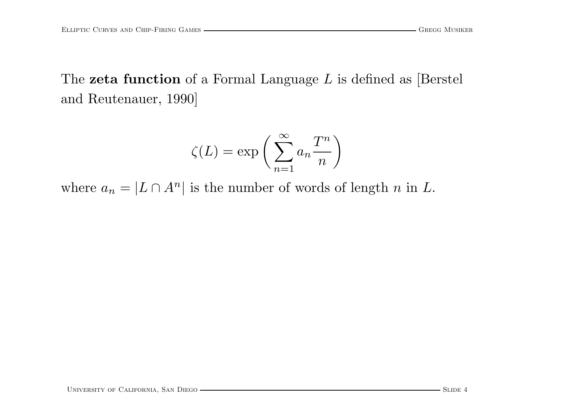The **zeta function** of a Formal Language  $L$  is defined as [Berstel and Reutenauer, 1990]

$$
\zeta(L) = \exp\left(\sum_{n=1}^{\infty} a_n \frac{T^n}{n}\right)
$$

where  $a_n = |L \cap A^n|$  is the number of words of length n in L.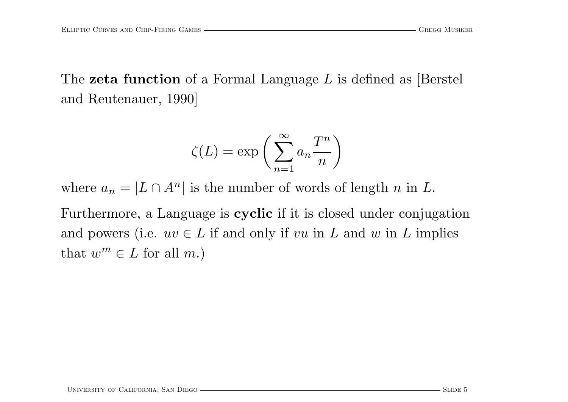The **zeta function** of a Formal Language L is defined as [Berstel] and Reutenauer, 1990]

$$
\zeta(L) = \exp\left(\sum_{n=1}^{\infty} a_n \frac{T^n}{n}\right)
$$

where  $a_n = |L \cap A^n|$  is the number of words of length n in L.

Furthermore, <sup>a</sup> Language is cyclic if it is closed under conjugation and powers (i.e.  $uv \in L$  if and only if vu in L and w in L implies that  $w^m \in L$  for all m.)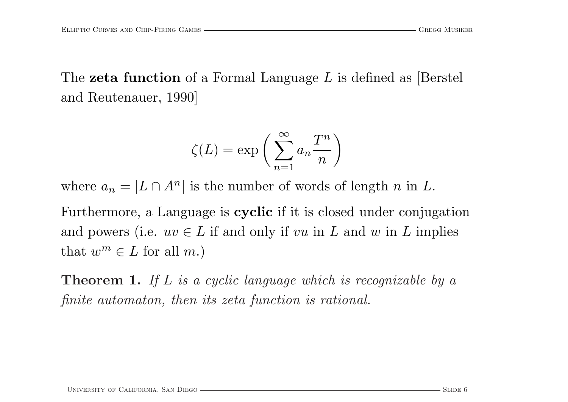The **zeta function** of a Formal Language L is defined as [Berstel] and Reutenauer, 1990]

$$
\zeta(L) = \exp\left(\sum_{n=1}^{\infty} a_n \frac{T^n}{n}\right)
$$

where  $a_n = |L \cap A^n|$  is the number of words of length n in L.

Furthermore, <sup>a</sup> Language is cyclic if it is closed under conjugation and powers (i.e.  $uv \in L$  if and only if vu in L and w in L implies that  $w^m \in L$  for all m.)

Theorem 1. If L is a cyclic language which is recognizable by a finite automaton, then its zeta function is rational.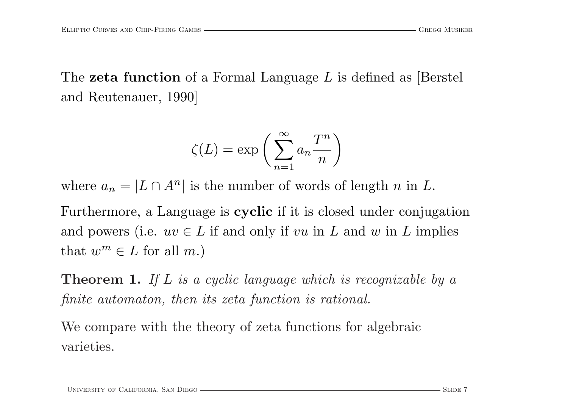The **zeta function** of a Formal Language  $L$  is defined as [Berstel] and Reutenauer, 1990]

$$
\zeta(L) = \exp\left(\sum_{n=1}^{\infty} a_n \frac{T^n}{n}\right)
$$

where  $a_n = |L \cap A^n|$  is the number of words of length n in L.

Furthermore, <sup>a</sup> Language is cyclic if it is closed under conjugation and powers (i.e.  $uv \in L$  if and only if vu in L and w in L implies that  $w^m \in L$  for all m.)

**Theorem 1.** If L is a cyclic language which is recognizable by a finite automaton, then its zeta function is rational.

We compare with the theory of zeta functions for algebraic varieties.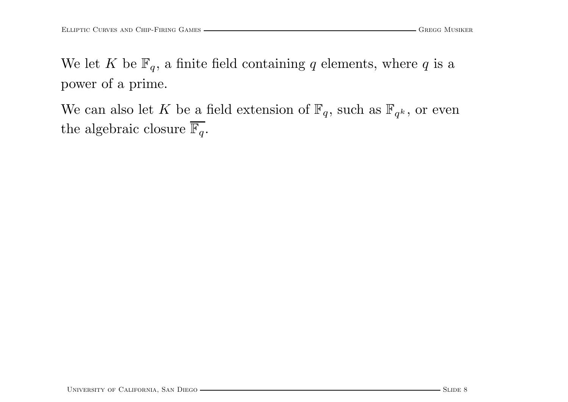We let K be  $\mathbb{F}_q$ , a finite field containing q elements, where q is a power of <sup>a</sup> prime.

We can also let K be a field extension of  $\mathbb{F}_q$ , such as  $\mathbb{F}_{q^k}$ , or even the algebraic closure  $\overline{\mathbb{F}_q}$ .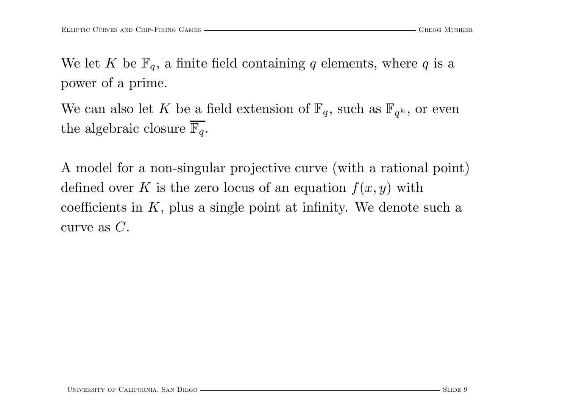We let K be  $\mathbb{F}_q$ , a finite field containing q elements, where q is a power of <sup>a</sup> prime.

We can also let K be a field extension of  $\mathbb{F}_q$ , such as  $\mathbb{F}_{q^k}$ , or even the algebraic closure  $\overline{\mathbb{F}_q}$ .

A model for <sup>a</sup> non-singular projective curve (with <sup>a</sup> rational point) defined over K is the zero locus of an equation  $f(x, y)$  with coefficients in  $K$ , plus a single point at infinity. We denote such a curve as C.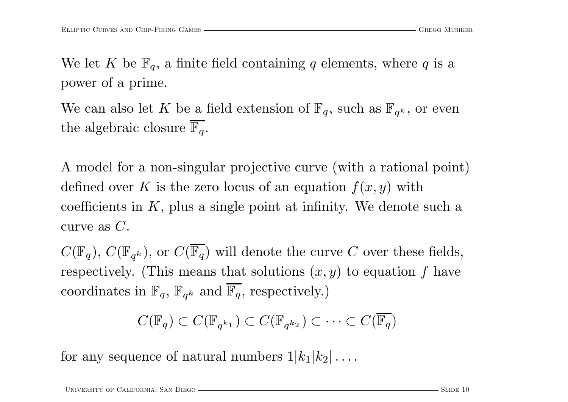We let K be  $\mathbb{F}_q$ , a finite field containing q elements, where q is a power of <sup>a</sup> prime.

We can also let K be a field extension of  $\mathbb{F}_q$ , such as  $\mathbb{F}_{q^k}$ , or even the algebraic closure  $\overline{\mathbb{F}_a}$ .

A model for <sup>a</sup> non-singular projective curve (with <sup>a</sup> rational point) defined over K is the zero locus of an equation  $f(x, y)$  with coefficients in  $K$ , plus a single point at infinity. We denote such a curve as C.

 $C(\mathbb{F}_q)$ ,  $C(\mathbb{F}_{q^k})$ , or  $C(\overline{\mathbb{F}_q})$  will denote the curve C over these fields, respectively. (This means that solutions  $(x, y)$  to equation f have coordinates in  $\mathbb{F}_q$ ,  $\mathbb{F}_{q^k}$  and  $\overline{\mathbb{F}_q}$ , respectively.)

$$
C(\mathbb{F}_q) \subset C(\mathbb{F}_{q^{k_1}}) \subset C(\mathbb{F}_{q^{k_2}}) \subset \cdots \subset C(\overline{\mathbb{F}_q})
$$

for any sequence of natural numbers  $1|k_1|k_2|...$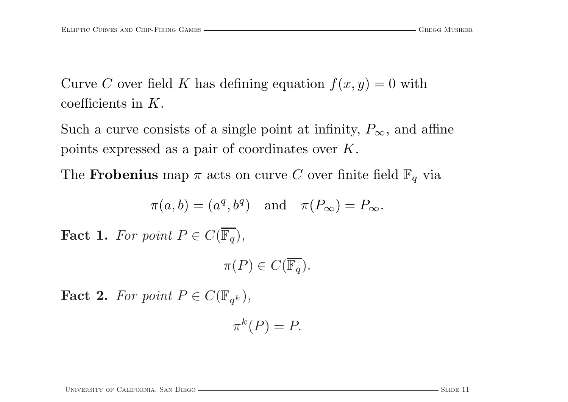Curve C over field K has defining equation  $f(x, y) = 0$  with coefficients in K.

Such a curve consists of a single point at infinity,  $P_{\infty}$ , and affine points expressed as <sup>a</sup> pair of coordinates over K.

The **Frobenius** map  $\pi$  acts on curve C over finite field  $\mathbb{F}_q$  via

$$
\pi(a, b) = (a^q, b^q)
$$
 and  $\pi(P_\infty) = P_\infty$ .

**Fact 1.** For point  $P \in C(\overline{\mathbb{F}_q})$ ,

$$
\pi(P) \in C(\overline{\mathbb{F}_q}).
$$

**Fact 2.** For point  $P \in C(\mathbb{F}_{q^k})$ ,

$$
\pi^k(P) = P.
$$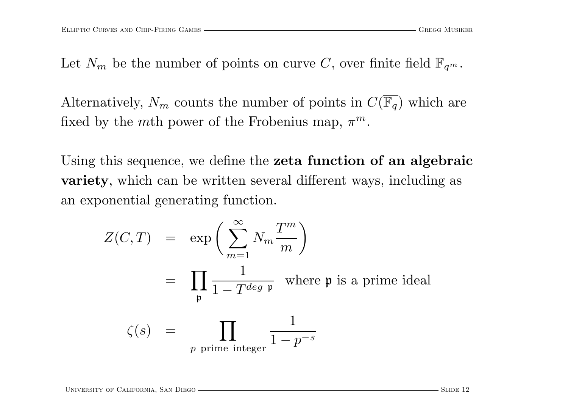Let  $N_m$  be the number of points on curve C, over finite field  $\mathbb{F}_{q^m}$ .

Alternatively,  $N_m$  counts the number of points in  $C(\overline{\mathbb{F}_q})$  which are fixed by the mth power of the Frobenius map,  $\pi^m$ .

Using this sequence, we define the zeta function of an algebraic variety, which can be written several different ways, including as an exponential generating function.

$$
Z(C,T) = \exp\left(\sum_{m=1}^{\infty} N_m \frac{T^m}{m}\right)
$$
  
= 
$$
\prod_{\mathfrak{p}} \frac{1}{1 - T^{deg \mathfrak{p}}}
$$
 where  $\mathfrak{p}$  is a prime ideal  

$$
\zeta(s) = \prod_{p \text{ prime integer}} \frac{1}{1 - p^{-s}}
$$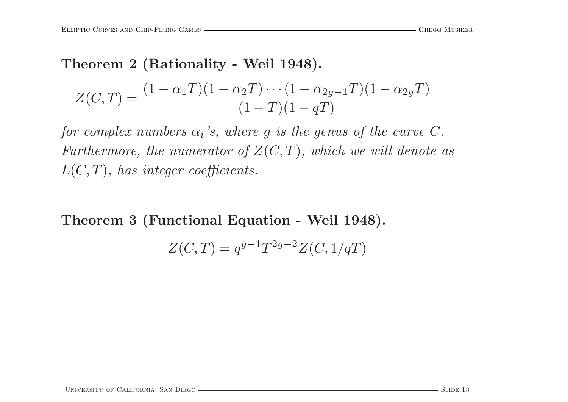## Theorem <sup>2</sup> (Rationality - Weil 1948).  $Z(C,T) = \frac{(1-\alpha_1T)(1-\alpha_2T)\cdots(1-\alpha_{2g-1}T)(1-\alpha_{2g}T)}{(1-T)(1-qT)}$

for complex numbers  $\alpha_i$ 's, where g is the genus of the curve C. Furthermore, the numerator of  $Z(C,T)$ , which we will denote as  $L(C, T)$ , has integer coefficients.

Theorem <sup>3</sup> (Functional Equation - Weil 1948).

$$
Z(C,T) = q^{g-1}T^{2g-2}Z(C,1/qT)
$$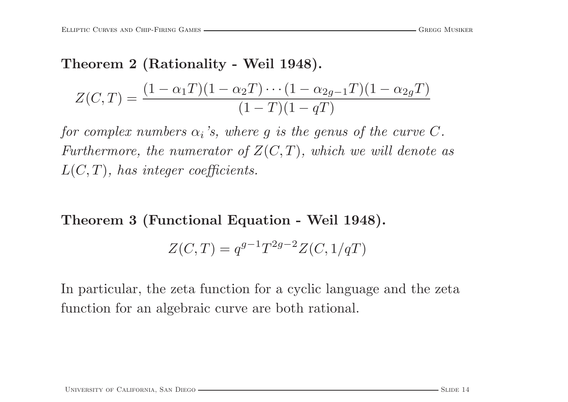# Theorem <sup>2</sup> (Rationality - Weil 1948).  $Z(C,T) = \frac{(1-\alpha_1T)(1-\alpha_2T)\cdots(1-\alpha_{2g-1}T)(1-\alpha_{2g}T)}{(1-T)(1-qT)}$

for complex numbers  $\alpha_i$ 's, where g is the genus of the curve C. Furthermore, the numerator of  $Z(C,T)$ , which we will denote as  $L(C, T)$ , has integer coefficients.

### Theorem <sup>3</sup> (Functional Equation - Weil 1948).

$$
Z(C,T) = q^{g-1}T^{2g-2}Z(C,1/qT)
$$

In particular, the zeta function for <sup>a</sup> cyclic language and the zeta function for an algebraic curve are both rational.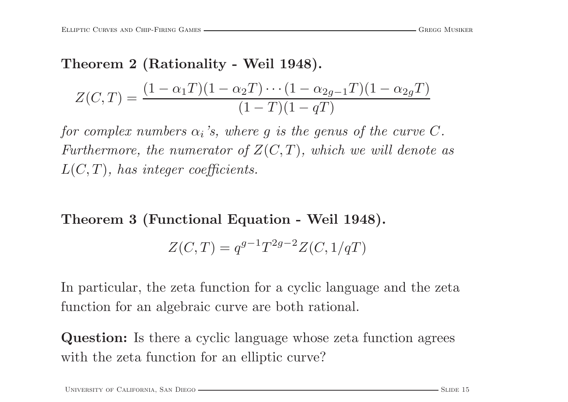# Theorem <sup>2</sup> (Rationality - Weil 1948).  $Z(C,T) = \frac{(1-\alpha_1T)(1-\alpha_2T)\cdots(1-\alpha_{2g-1}T)(1-\alpha_{2g}T)}{(1-T)(1-qT)}$

for complex numbers  $\alpha_i$ 's, where g is the genus of the curve C. Furthermore, the numerator of  $Z(C,T)$ , which we will denote as  $L(C, T)$ , has integer coefficients.

Theorem <sup>3</sup> (Functional Equation - Weil 1948).

$$
Z(C,T) = q^{g-1}T^{2g-2}Z(C,1/qT)
$$

In particular, the zeta function for <sup>a</sup> cyclic language and the zeta function for an algebraic curve are both rational.

Question: Is there a cyclic language whose zeta function agrees with the zeta function for an elliptic curve?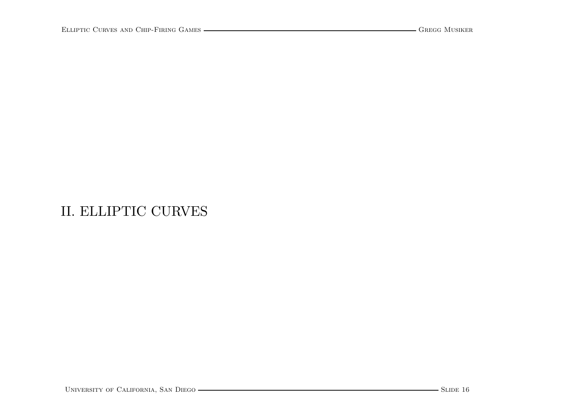#### II. ELLIPTIC CURVES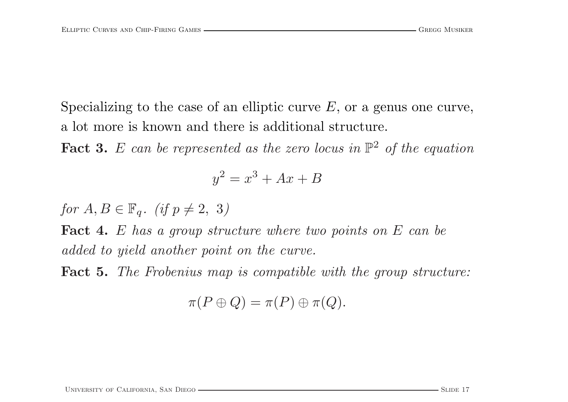Specializing to the case of an elliptic curve  $E$ , or a genus one curve, <sup>a</sup> lot more is known and there is additional structure.

**Fact 3.** E can be represented as the zero locus in  $\mathbb{P}^2$  of the equation

$$
y^2 = x^3 + Ax + B
$$

for  $A, B \in \mathbb{F}_q$ . (if  $p \neq 2, 3$ )

Fact 4. E has a group structure where two points on E can be added to yield another point on the curve.

Fact 5. The Frobenius map is compatible with the group structure:

$$
\pi(P\oplus Q)=\pi(P)\oplus \pi(Q).
$$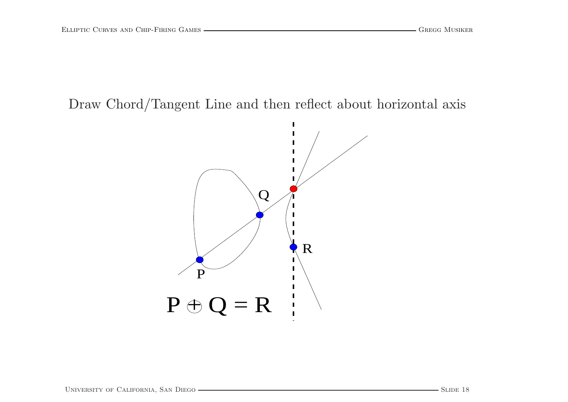Draw Chord/Tangent Line and then reflect about horizontal axis

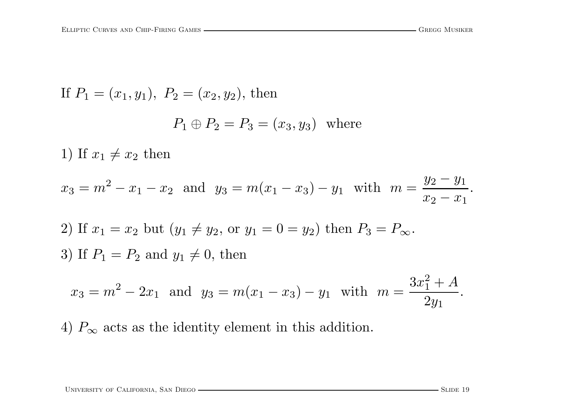If 
$$
P_1 = (x_1, y_1)
$$
,  $P_2 = (x_2, y_2)$ , then  
\n
$$
P_1 \oplus P_2 = P_3 = (x_3, y_3) \text{ where}
$$
\n1) If  $x_1 \neq x_2$  then  
\n
$$
x_3 = m^2 - x_1 - x_2 \text{ and } y_3 = m(x_1 - x_3) - y_1 \text{ with } m = \frac{y_2 - y_1}{x_2 - x_1}.
$$
\n2) If  $x_1 = x_2$  but  $(y_1 \neq y_2$ , or  $y_1 = 0 = y_2$ ) then  $P_3 = P_{\infty}$ .  
\n3) If  $P_1 = P_2$  and  $y_1 \neq 0$ , then  
\n
$$
x_3 = m^2 - 2x_1 \text{ and } y_3 = m(x_1 - x_3) - y_1 \text{ with } m = \frac{3x_1^2 + A}{2y_1}.
$$
\n4)  $P_{\infty}$  acts as the identity element in this addition.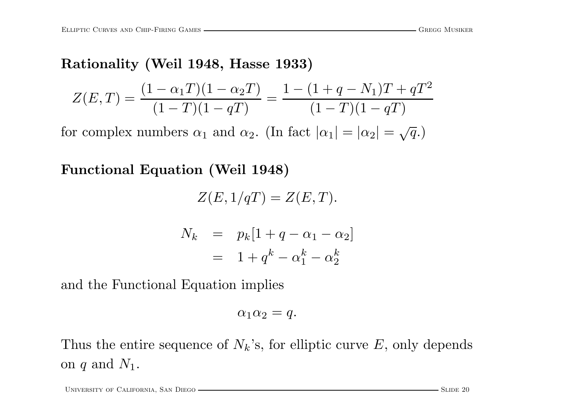### Rationality (Weil 1948, Hasse 1933)

$$
Z(E,T) = \frac{(1 - \alpha_1 T)(1 - \alpha_2 T)}{(1 - T)(1 - qT)} = \frac{1 - (1 + q - N_1)T + qT^2}{(1 - T)(1 - qT)}
$$

for complex numbers  $\alpha_1$  and  $\alpha_2$ . (In fact  $|\alpha_1| = |\alpha_2| = \sqrt{q}$ .)

Functional Equation (Weil 1948)

 $Z(E, 1/qT) = Z(E, T).$ 

$$
N_k = p_k[1 + q - \alpha_1 - \alpha_2]
$$
  
= 1 + q<sup>k</sup> - \alpha\_1<sup>k</sup> - \alpha\_2<sup>k</sup>

and the Functional Equation implies

$$
\alpha_1\alpha_2=q.
$$

Thus the entire sequence of  $N_k$ 's, for elliptic curve E, only depends on  $q$  and  $N_1$ .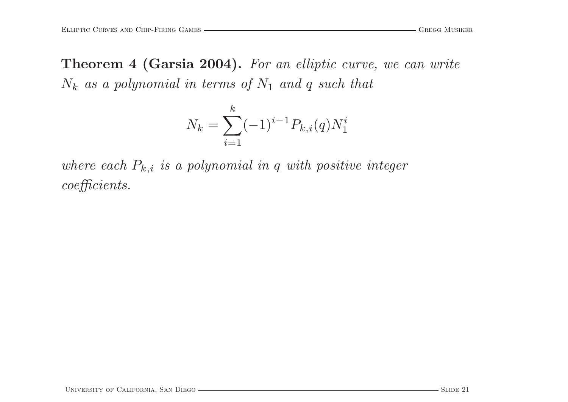Theorem <sup>4</sup> (Garsia 2004). For an elliptic curve, we can write  $N_k$  as a polynomial in terms of  $N_1$  and q such that

$$
N_k = \sum_{i=1}^k (-1)^{i-1} P_{k,i}(q) N_1^i
$$

where each  $P_{k,i}$  is a polynomial in q with positive integer coefficients.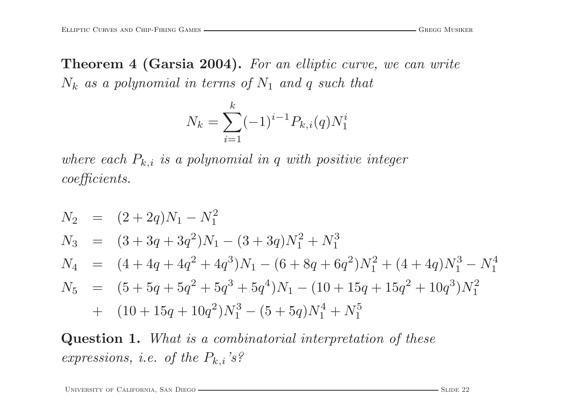Theorem <sup>4</sup> (Garsia 2004). For an elliptic curve, we can write  $N_k$  as a polynomial in terms of  $N_1$  and q such that

$$
N_k = \sum_{i=1}^k (-1)^{i-1} P_{k,i}(q) N_1^i
$$

where each  $P_{k,i}$  is a polynomial in q with positive integer coefficients.

$$
N_2 = (2+2q)N_1 - N_1^2
$$
  
\n
$$
N_3 = (3+3q+3q^2)N_1 - (3+3q)N_1^2 + N_1^3
$$
  
\n
$$
N_4 = (4+4q+4q^2+4q^3)N_1 - (6+8q+6q^2)N_1^2 + (4+4q)N_1^3 - N_1^4
$$
  
\n
$$
N_5 = (5+5q+5q^2+5q^3+5q^4)N_1 - (10+15q+15q^2+10q^3)N_1^2
$$
  
\n+ 
$$
(10+15q+10q^2)N_1^3 - (5+5q)N_1^4 + N_1^5
$$

Question 1. What is a combinatorial interpretation of these expressions, i.e. of the  $P_{k,i}$ 's?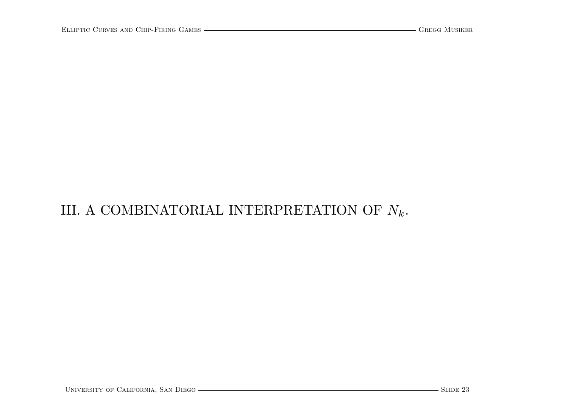## III. A COMBINATORIAL INTERPRETATION OF  $N_k$ .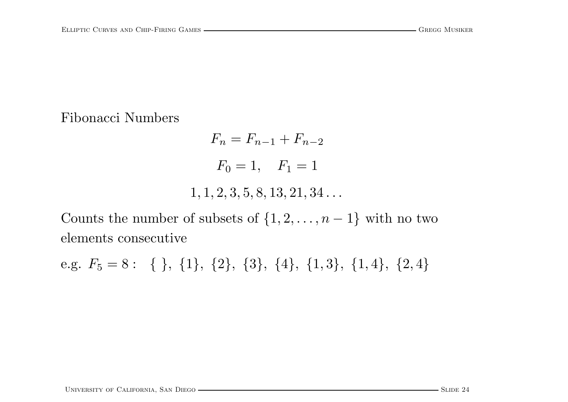Fibonacci Numbers

$$
F_n = F_{n-1} + F_{n-2}
$$
  
\n
$$
F_0 = 1, \quad F_1 = 1
$$
  
\n
$$
1, 1, 2, 3, 5, 8, 13, 21, 34...
$$

Counts the number of subsets of  $\{1, 2, \ldots, n-1\}$  with no two elements consecutive

e.g.  $F_5 = 8: \{ \}, \{1\}, \{2\}, \{3\}, \{4\}, \{1, 3\}, \{1, 4\}, \{2, 4\}$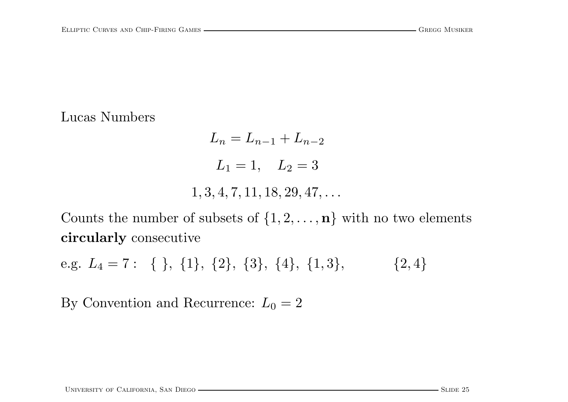Lucas Numbers

$$
L_n = L_{n-1} + L_{n-2}
$$
  
\n
$$
L_1 = 1, \quad L_2 = 3
$$
  
\n
$$
1, 3, 4, 7, 11, 18, 29, 47, \dots
$$

Counts the number of subsets of  $\{1, 2, \ldots, n\}$  with no two elements circularly consecutive

e.g.  $L_4 = 7: \{ \}, \{1\}, \{2\}, \{3\}, \{4\}, \{1, 3\}, \$  {2, 4}

By Convention and Recurrence:  $L_0 = 2$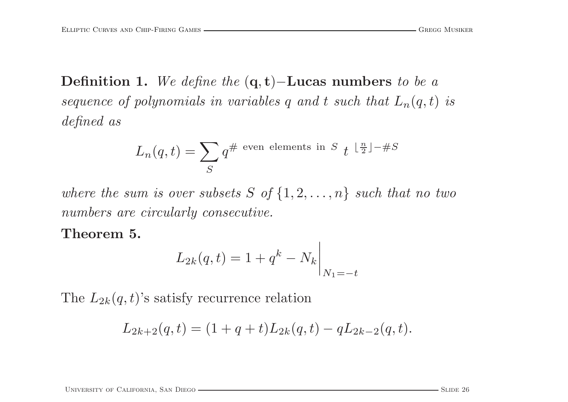Definition 1. We define the  $(q, t)$ −Lucas numbers to be a sequence of polynomials in variables q and t such that  $L_n(q,t)$  is defined as

$$
L_n(q,t) = \sum_S q^{\#}
$$
 even elements in  $S$ <sup>t</sup>  $\lfloor \frac{n}{2} \rfloor - \#S$ 

where the sum is over subsets S of  $\{1, 2, \ldots, n\}$  such that no two numbers are circularly consecutive.

#### Theorem 5.

$$
L_{2k}(q,t) = 1 + q^k - N_k \Big|_{N_1 = -t}
$$

The  $L_{2k}(q,t)$ 's satisfy recurrence relation

$$
L_{2k+2}(q,t) = (1+q+t)L_{2k}(q,t) - qL_{2k-2}(q,t).
$$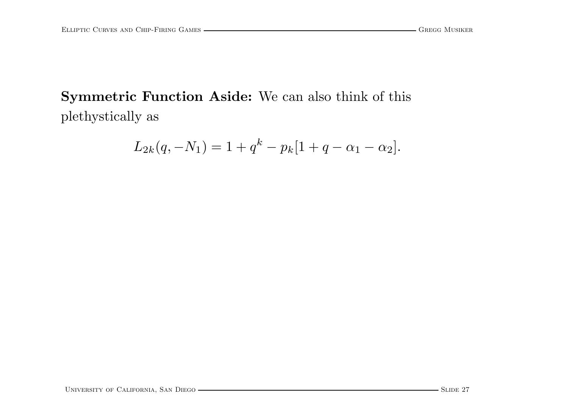## Symmetric Function Aside: We can also think of this plethystically as

$$
L_{2k}(q, -N_1) = 1 + q^k - p_k[1 + q - \alpha_1 - \alpha_2].
$$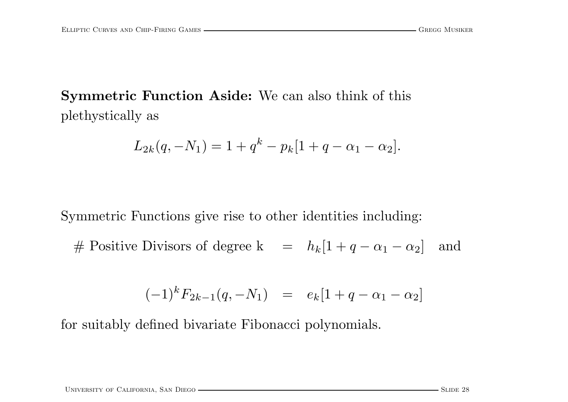## Symmetric Function Aside: We can also think of this plethystically as

$$
L_{2k}(q, -N_1) = 1 + q^k - p_k[1 + q - \alpha_1 - \alpha_2].
$$

Symmetric Functions give rise to other identities including:

# Positive Divisors of degree k =  $h_k[1+q-\alpha_1-\alpha_2]$  and

$$
(-1)^k F_{2k-1}(q, -N_1) = e_k[1+q-\alpha_1-\alpha_2]
$$

for suitably defined bivariate Fibonacci polynomials.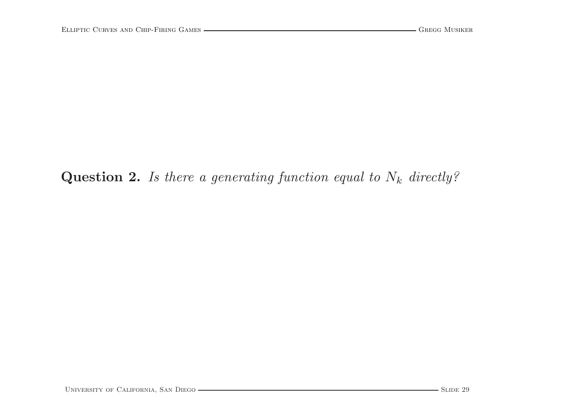### **Question 2.** Is there a generating function equal to  $N_k$  directly?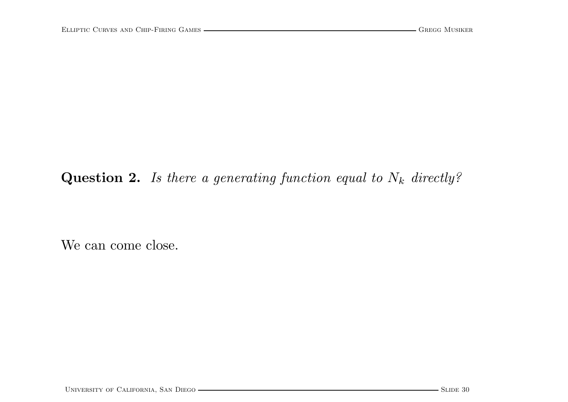#### **Question 2.** Is there a generating function equal to  $N_k$  directly?

We can come close.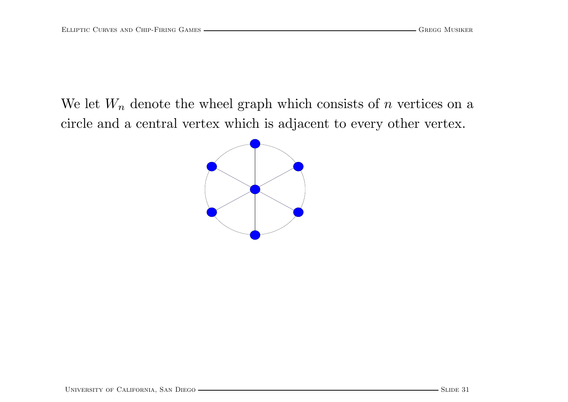We let  $W_n$  denote the wheel graph which consists of n vertices on a circle and <sup>a</sup> central vertex which is adjacent to every other vertex.

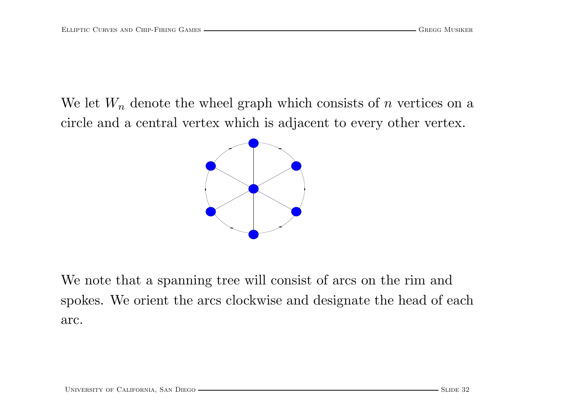We let  $W_n$  denote the wheel graph which consists of n vertices on a circle and <sup>a</sup> central vertex which is adjacent to every other vertex.



We note that <sup>a</sup> spanning tree will consist of arcs on the rim and spokes. We orient the arcs clockwise and designate the head of each arc.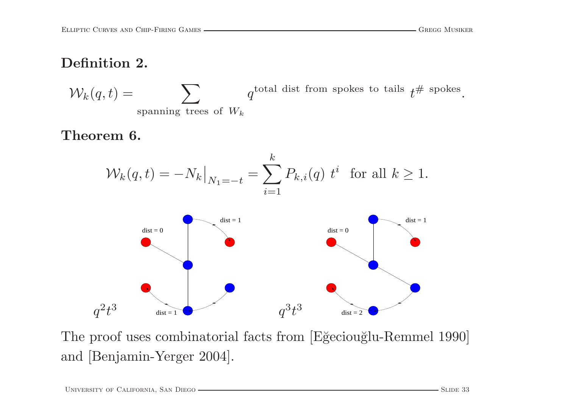#### Definition 2.

 $\mathcal{W}_k(q,t) =$ spanning trees of  $W_k$ qtotal dist from spokes to tails  $t^{\#}$  spokes.

Theorem 6.



The proof uses combinatorial facts from [Eğeciouğlu-Remmel 1990] and [Benjamin-Yerger 2004].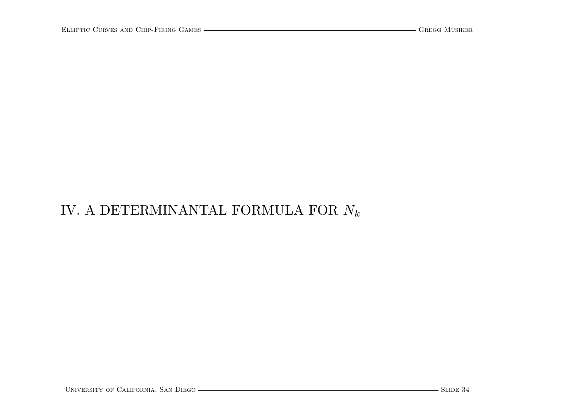## IV. A DETERMINANTAL FORMULA FOR  $N_k$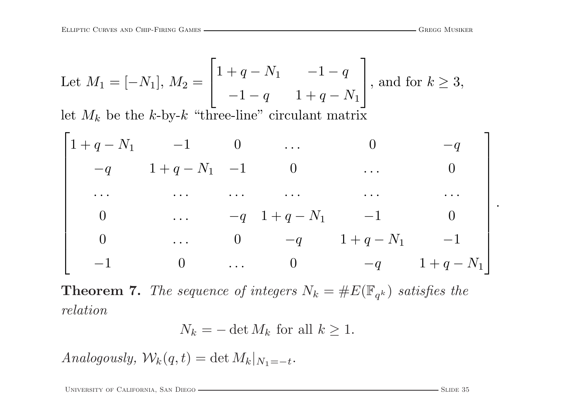Let 
$$
M_1 = [-N_1]
$$
,  $M_2 = \begin{bmatrix} 1+q-N_1 & -1-q \\ -1-q & 1+q-N_1 \end{bmatrix}$ , and for  $k \ge 3$ ,

let  $M_k$  be the k-by-k "three-line" circulant matrix

$$
\begin{bmatrix}\n1+q-N_1 & -1 & 0 & \dots & 0 & -q \\
-q & 1+q-N_1 & -1 & 0 & \dots & 0 \\
\vdots & \vdots & \ddots & \vdots & \ddots & \vdots \\
0 & \dots & -q & 1+q-N_1 & -1 & 0 \\
0 & \dots & 0 & -q & 1+q-N_1 & -1 \\
-1 & 0 & \dots & 0 & -q & 1+q-N_1\n\end{bmatrix}
$$

**Theorem 7.** The sequence of integers  $N_k = \#E(\mathbb{F}_{q^k})$  satisfies the relation

$$
N_k = -\det M_k
$$
 for all  $k \ge 1$ .

Analogously,  $\mathcal{W}_k(q,t) = \det M_k|_{N_1=-t}$ .

.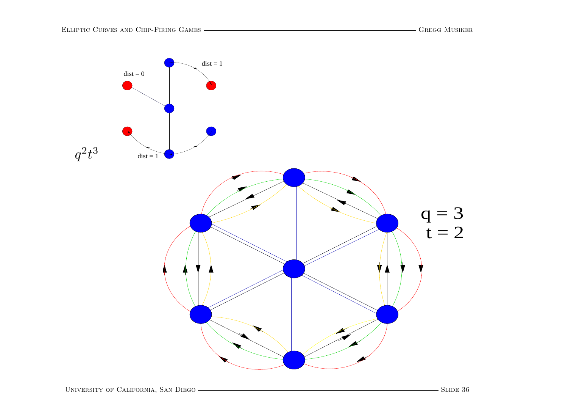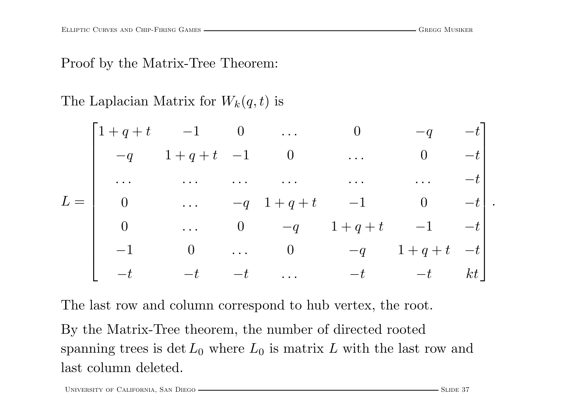### Proof by the Matrix-Tree Theorem:

The Laplacian Matrix for  $W_k(q,t)$  is

$$
L = \begin{bmatrix} 1+q+t & -1 & 0 & \dots & 0 & -q & -t \\ -q & 1+q+t & -1 & 0 & \dots & 0 & -t \\ \dots & \dots & \dots & \dots & \dots & \dots & -t \\ 0 & \dots & -q & 1+q+t & -1 & 0 & -t \\ 0 & \dots & 0 & -q & 1+q+t & -1 & -t \\ -1 & 0 & \dots & 0 & -q & 1+q+t & -t \\ -t & -t & -t & \dots & -t & -t & kt \end{bmatrix}.
$$

The last row and column correspond to hub vertex, the root. By the Matrix-Tree theorem, the number of directed rooted spanning trees is  $\det L_0$  where  $L_0$  is matrix L with the last row and last column deleted.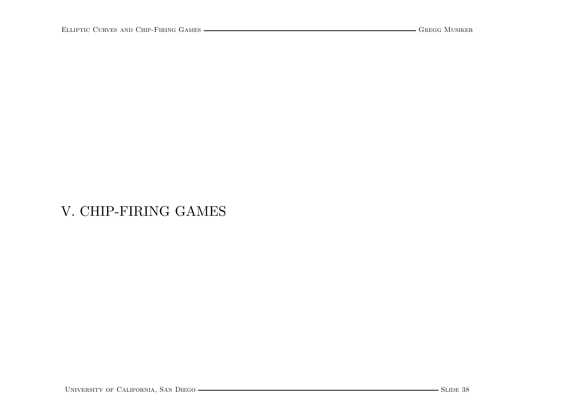### V. CHIP-FIRING GAMES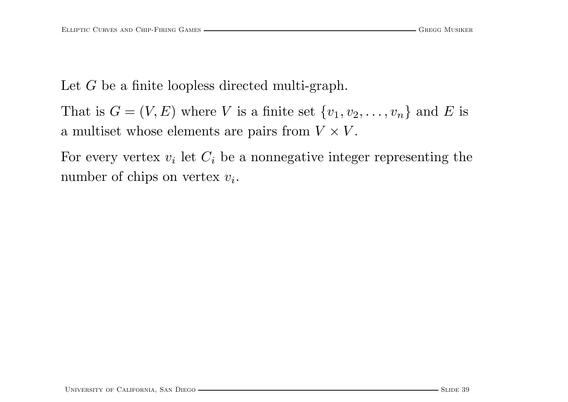Let  $G$  be a finite loopless directed multi-graph.

That is  $G = (V, E)$  where V is a finite set  $\{v_1, v_2, \ldots, v_n\}$  and E is a multiset whose elements are pairs from  $V \times V$ .

For every vertex  $v_i$  let  $C_i$  be a nonnegative integer representing the number of chips on vertex  $v_i$ .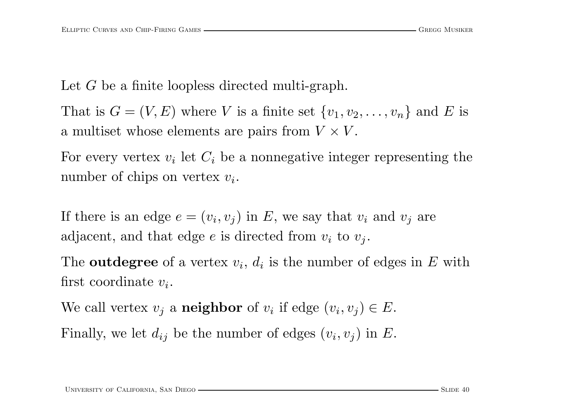Let G be a finite loopless directed multi-graph.

That is  $G = (V, E)$  where V is a finite set  $\{v_1, v_2, \ldots, v_n\}$  and E is a multiset whose elements are pairs from  $V \times V$ .

For every vertex  $v_i$  let  $C_i$  be a nonnegative integer representing the number of chips on vertex  $v_i$ .

If there is an edge  $e = (v_i, v_j)$  in E, we say that  $v_i$  and  $v_j$  are adjacent, and that edge  $e$  is directed from  $v_i$  to  $v_j$ .

The **outdegree** of a vertex  $v_i$ ,  $d_i$  is the number of edges in E with first coordinate  $v_i$ .

We call vertex  $v_i$  a **neighbor** of  $v_i$  if edge  $(v_i, v_j) \in E$ .

Finally, we let  $d_{ij}$  be the number of edges  $(v_i, v_j)$  in E.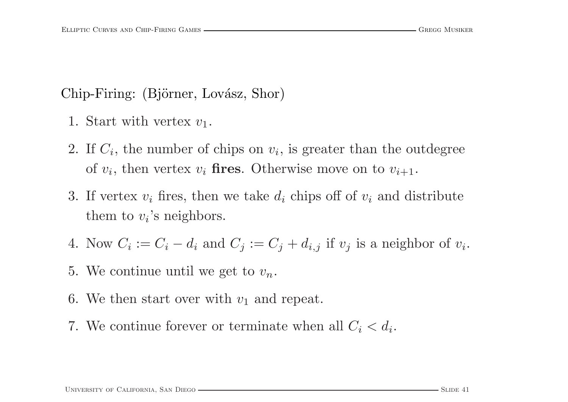Chip-Firing: (Björner, Lovász, Shor)

- 1. Start with vertex  $v_1$ .
- 2. If  $C_i$ , the number of chips on  $v_i$ , is greater than the outdegree of  $v_i$ , then vertex  $v_i$  fires. Otherwise move on to  $v_{i+1}$ .
- 3. If vertex  $v_i$  fires, then we take  $d_i$  chips off of  $v_i$  and distribute them to  $v_i$ 's neighbors.
- 4. Now  $C_i := C_i d_i$  and  $C_j := C_j + d_{i,j}$  if  $v_j$  is a neighbor of  $v_i$ .
- 5. We continue until we get to  $v_n$ .
- 6. We then start over with  $v_1$  and repeat.
- 7. We continue forever or terminate when all  $C_i < d_i$ .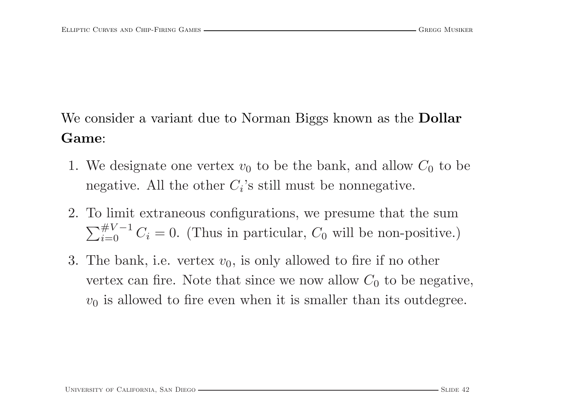# We consider a variant due to Norman Biggs known as the **Dollar** Game:

- 1. We designate one vertex  $v_0$  to be the bank, and allow  $C_0$  to be negative. All the other  $C_i$ 's still must be nonnegative.
- 2. To limit extraneous configurations, we presume that the sum  $\sum_{i=0}^{ \#V-1} C_i = 0$ . (Thus in particular,  $C_0$  will be non-positive.)
- 3. The bank, i.e. vertex  $v_0$ , is only allowed to fire if no other vertex can fire. Note that since we now allow  $C_0$  to be negative,  $v_0$  is allowed to fire even when it is smaller than its outdegree.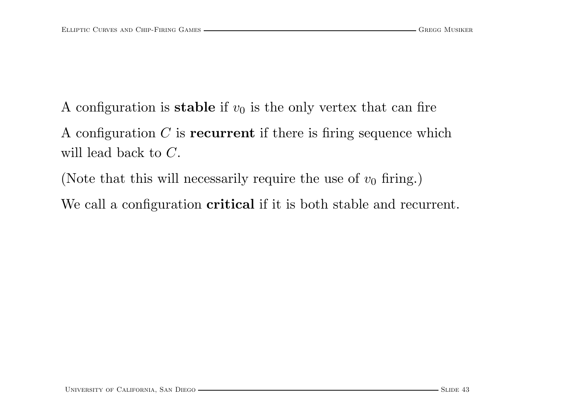A configuration is **stable** if  $v_0$  is the only vertex that can fire A configuration  $C$  is recurrent if there is firing sequence which will lead back to C.

(Note that this will necessarily require the use of  $v_0$  firing.)

We call a configuration **critical** if it is both stable and recurrent.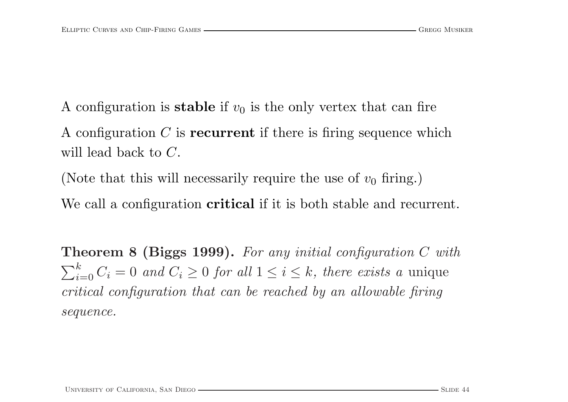A configuration is **stable** if  $v_0$  is the only vertex that can fire A configuration  $C$  is recurrent if there is firing sequence which will lead back to C.

(Note that this will necessarily require the use of  $v_0$  firing.)

We call a configuration **critical** if it is both stable and recurrent.

Theorem <sup>8</sup> (Biggs 1999). For any initial configuration C with  $\sum_{i=0}^{k} C_i = 0$  and  $C_i \geq 0$  for all  $1 \leq i \leq k$ , there exists a unique critical configuration that can be reached by an allowable firing sequence.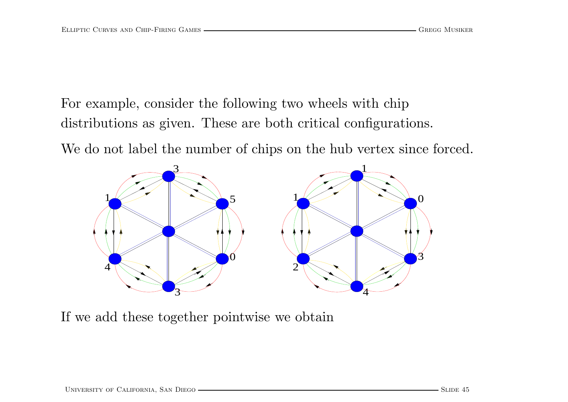For example, consider the following two wheels with chip distributions as given. These are both critical configurations.

We do not label the number of chips on the hub vertex since forced.



If we add these together pointwise we obtain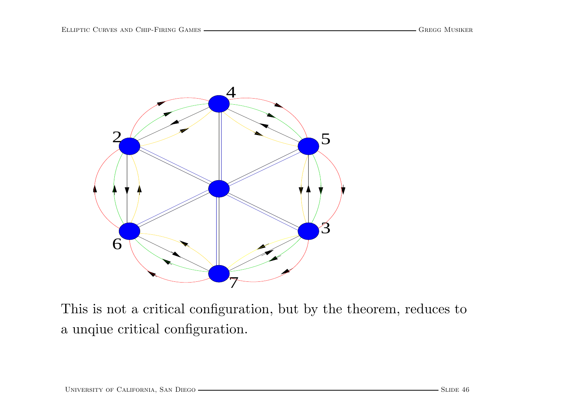

This is not <sup>a</sup> critical configuration, but by the theorem, reduces to <sup>a</sup> unqiue critical configuration.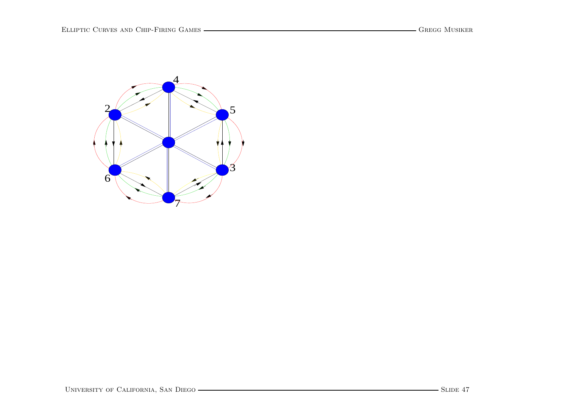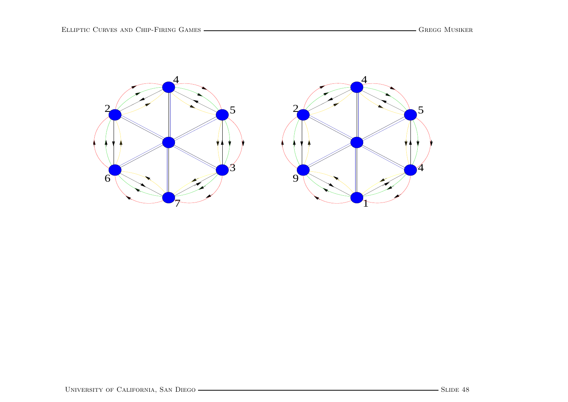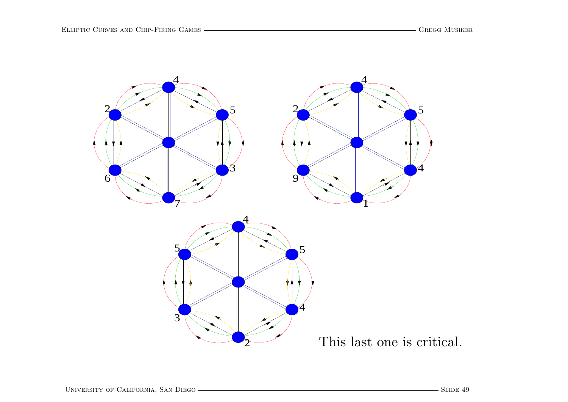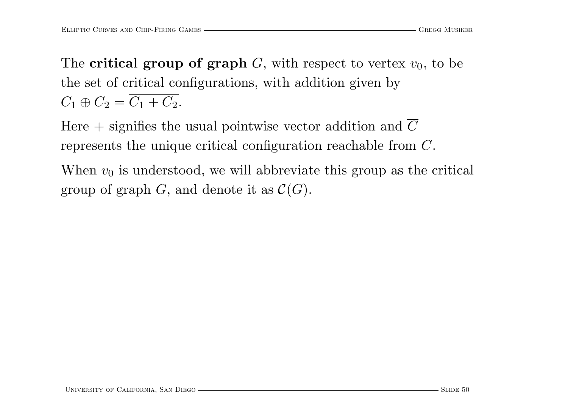The **critical group of graph** G, with respect to vertex  $v_0$ , to be the set of critical configurations, with addition given by  $C_1 \oplus C_2 = \overline{C_1 + C_2}.$ 

Here  $+$  signifies the usual pointwise vector addition and  $\overline{C}$ represents the unique critical configuration reachable from <sup>C</sup>.

When  $v_0$  is understood, we will abbreviate this group as the critical group of graph  $G$ , and denote it as  $\mathcal{C}(G)$ .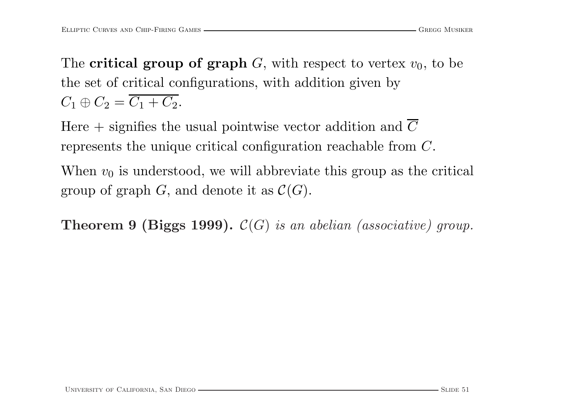The **critical group of graph** G, with respect to vertex  $v_0$ , to be the set of critical configurations, with addition given by  $C_1 \oplus C_2 = \overline{C_1 + C_2}.$ 

Here  $+$  signifies the usual pointwise vector addition and  $\overline{C}$ represents the unique critical configuration reachable from <sup>C</sup>.

When  $v_0$  is understood, we will abbreviate this group as the critical group of graph  $G$ , and denote it as  $\mathcal{C}(G)$ .

**Theorem 9 (Biggs 1999).**  $C(G)$  is an abelian (associative) group.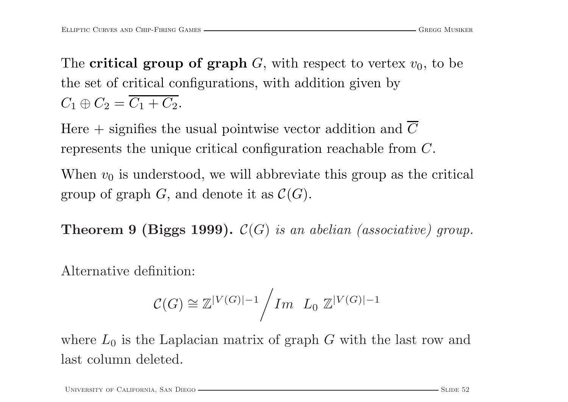The **critical group of graph** G, with respect to vertex  $v_0$ , to be the set of critical configurations, with addition given by  $C_1 \oplus C_2 = \overline{C_1 + C_2}.$ 

Here  $+$  signifies the usual pointwise vector addition and  $\overline{C}$ represents the unique critical configuration reachable from <sup>C</sup>.

When  $v_0$  is understood, we will abbreviate this group as the critical group of graph  $G$ , and denote it as  $\mathcal{C}(G)$ .

**Theorem 9 (Biggs 1999).**  $C(G)$  is an abelian (associative) group.

Alternative definition:

$$
\mathcal{C}(G) \cong \mathbb{Z}^{|V(G)|-1} / Im L_0 \mathbb{Z}^{|V(G)|-1}
$$

where  $L_0$  is the Laplacian matrix of graph G with the last row and last column deleted.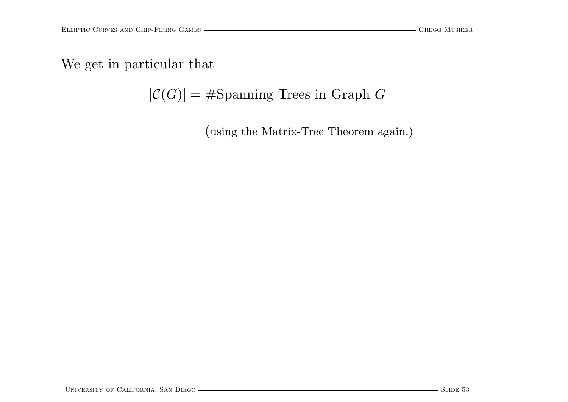### We get in particular that

$$
|\mathcal{C}(G)| = \# \text{Spanning Trees in Graph } G
$$

(using the Matrix-Tree Theorem again.)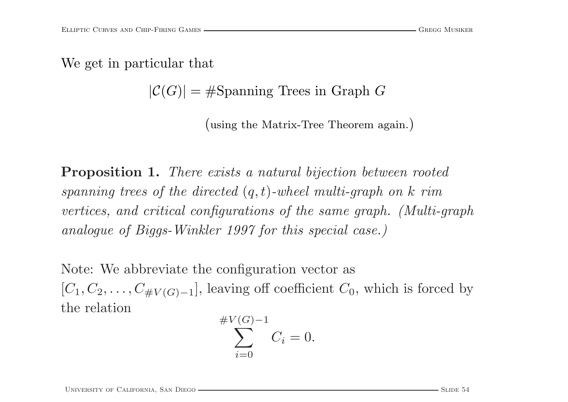### We get in particular that

 $|\mathcal{C}(G)| = \#$ Spanning Trees in Graph G

(using the Matrix-Tree Theorem again.)

**Proposition 1.** There exists a natural bijection between rooted spanning trees of the directed  $(q, t)$ -wheel multi-graph on k rim vertices, and critical configurations of the same graph. (Multi-graph analogue of Biggs-Winkler <sup>1997</sup> for this special case.)

Note: We abbreviate the configuration vector as  $[C_1, C_2, \ldots, C_{\#V(G)-1}]$ , leaving off coefficient  $C_0$ , which is forced by the relation

#V(G)-1  

$$
\sum_{i=0}^{4V(G)-1} C_i = 0.
$$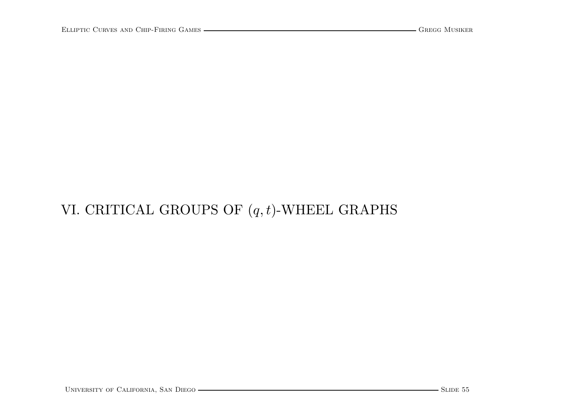## VI. CRITICAL GROUPS OF  $(q, t)$ -WHEEL GRAPHS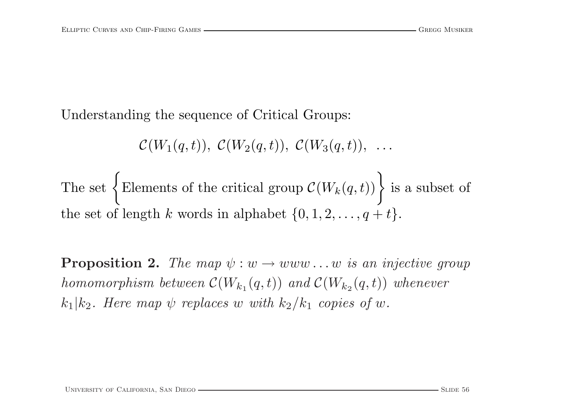Understanding the sequence of Critical Groups:

 $\mathcal{C}(W_1(q,t)), \; \mathcal{C}(W_2(q,t)), \; \mathcal{C}(W_3(q,t)), \; \ldots$ 

The set  $\Big\{ \text{Elements of the critical group } \mathcal{C}(W_k(q,t))\Big\}$  is a subset of the set of length k words in alphabet  $\{0, 1, 2, \ldots, q + t\}.$ 

**Proposition 2.** The map  $\psi : w \to www \dots w$  is an injective group homomorphism between  $\mathcal{C}(W_{k_1}(q,t))$  and  $\mathcal{C}(W_{k_2}(q,t))$  whenever  $k_1|k_2$ . Here map  $\psi$  replaces w with  $k_2/k_1$  copies of w.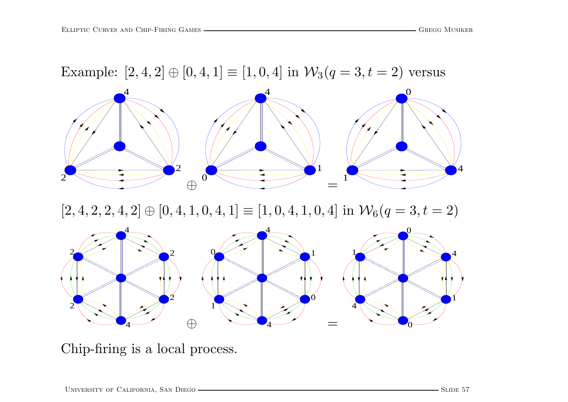



 $[2, 4, 2, 2, 4, 2] \oplus [0, 4, 1, 0, 4, 1] \equiv [1, 0, 4, 1, 0, 4]$  in  $\mathcal{W}_6(q = 3, t = 2)$ 



Chip-firing is <sup>a</sup> local process.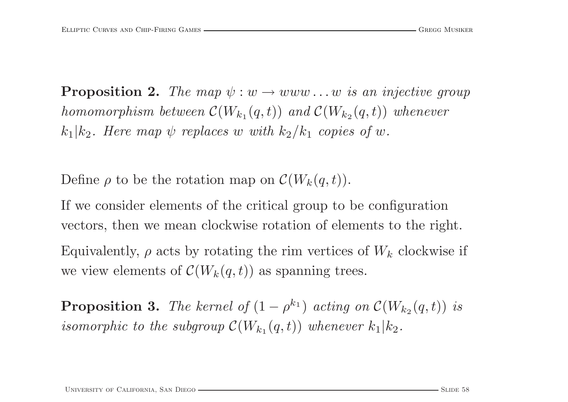**Proposition 2.** The map  $\psi : w \to www \dots w$  is an injective group homomorphism between  $\mathcal{C}(W_{k_1}(q,t))$  and  $\mathcal{C}(W_{k_2}(q,t))$  whenever  $k_1|k_2$ . Here map  $\psi$  replaces w with  $k_2/k_1$  copies of w.

Define  $\rho$  to be the rotation map on  $\mathcal{C}(W_k(q,t))$ .

If we consider elements of the critical group to be configuration vectors, then we mean clockwise rotation of elements to the right.

Equivalently,  $\rho$  acts by rotating the rim vertices of  $W_k$  clockwise if we view elements of  $\mathcal{C}(W_k(q,t))$  as spanning trees.

**Proposition 3.** The kernel of  $(1 - \rho^{k_1})$  acting on  $\mathcal{C}(W_{k_2}(q, t))$  is isomorphic to the subgroup  $\mathcal{C}(W_{k_1}(q,t))$  whenever  $k_1|k_2$ .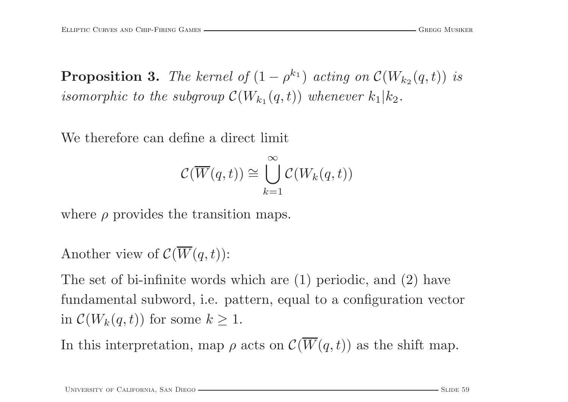**Proposition 3.** The kernel of  $(1 - \rho^{k_1})$  acting on  $\mathcal{C}(W_{k_2}(q, t))$  is isomorphic to the subgroup  $\mathcal{C}(W_{k_1}(q,t))$  whenever  $k_1|k_2$ .

We therefore can define <sup>a</sup> direct limit

$$
\mathcal{C}(\overline{W}(q,t)) \cong \bigcup_{k=1}^{\infty} \mathcal{C}(W_k(q,t))
$$

where  $\rho$  provides the transition maps.

Another view of  $\mathcal{C}(\overline{W}(q,t))$ :

The set of bi-infinite words which are (1) periodic, and (2) have fundamental subword, i.e. pattern, equal to <sup>a</sup> configuration vector in  $\mathcal{C}(W_k(q,t))$  for some  $k \geq 1$ .

In this interpretation, map  $\rho$  acts on  $\mathcal{C}(\overline{W}(q,t))$  as the shift map.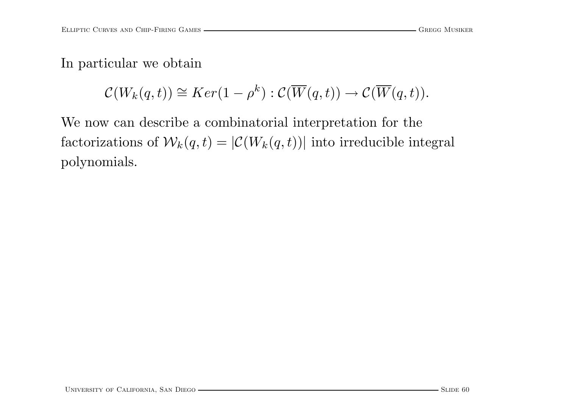### In particular we obtain

$$
\mathcal{C}(W_k(q,t)) \cong Ker(1-\rho^k): \mathcal{C}(\overline{W}(q,t)) \to \mathcal{C}(\overline{W}(q,t)).
$$

We now can describe <sup>a</sup> combinatorial interpretation for the factorizations of  $W_k(q, t) = |\mathcal{C}(W_k(q, t))|$  into irreducible integral polynomials.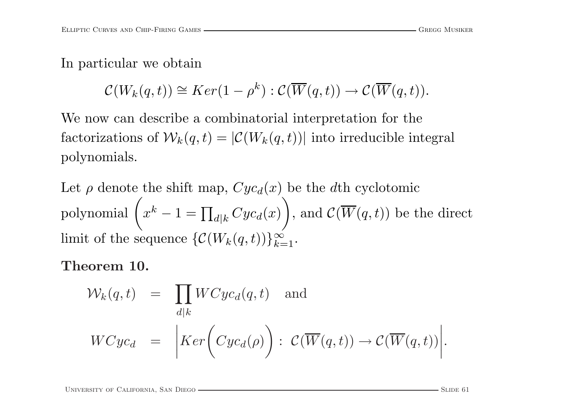#### In particular we obtain

$$
\mathcal{C}(W_k(q,t)) \cong Ker(1-\rho^k): \mathcal{C}(\overline{W}(q,t)) \to \mathcal{C}(\overline{W}(q,t)).
$$

We now can describe <sup>a</sup> combinatorial interpretation for the factorizations of  $W_k(q, t) = |\mathcal{C}(W_k(q, t))|$  into irreducible integral polynomials.

Let  $\rho$  denote the shift map,  $Cyc_d(x)$  be the dth cyclotomic polynomial  $\left(x^k - 1 = \prod_{d|k} Cyc_d(x)\right)$ , and  $\mathcal{C}(\overline{W}(q, t))$  be the direct limit of the sequence  $\{C(W_k(q,t))\}_{k=1}^{\infty}$ .

#### Theorem 10.

$$
\mathcal{W}_k(q,t) = \prod_{d|k} WCyc_d(q,t) \text{ and}
$$
  
\n
$$
WCyc_d = \left| Ker\left(Cyc_d(\rho)\right) : C(\overline{W}(q,t)) \to C(\overline{W}(q,t)) \right|.
$$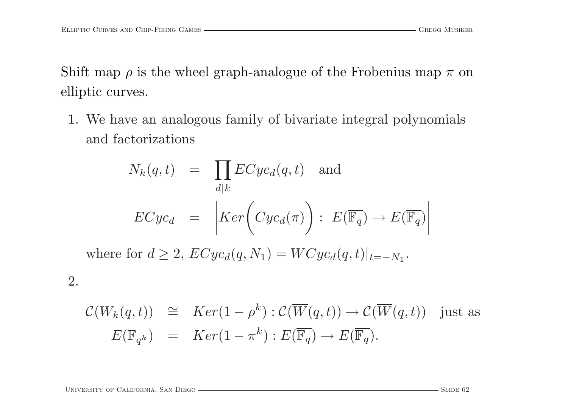Shift map  $\rho$  is the wheel graph-analogue of the Frobenius map  $\pi$  on elliptic curves.

1. We have an analogous family of bivariate integral polynomials and factorizations

$$
N_k(q,t) = \prod_{d|k} ECyc_d(q,t) \text{ and}
$$
  

$$
ECyc_d = \left| Ker\left(Cyc_d(\pi)\right) : E(\overline{\mathbb{F}_q}) \to E(\overline{\mathbb{F}_q}) \right|
$$

where for  $d \geq 2$ ,  $ECyc_d(q, N_1) = WCyc_d(q, t)|_{t=-N_1}$ .

2.

$$
\mathcal{C}(W_k(q,t)) \cong \text{Ker}(1-\rho^k): \mathcal{C}(\overline{W}(q,t)) \to \mathcal{C}(\overline{W}(q,t)) \text{ just as}
$$
  

$$
E(\mathbb{F}_{q^k}) = \text{Ker}(1-\pi^k): E(\overline{\mathbb{F}_q}) \to E(\overline{\mathbb{F}_q}).
$$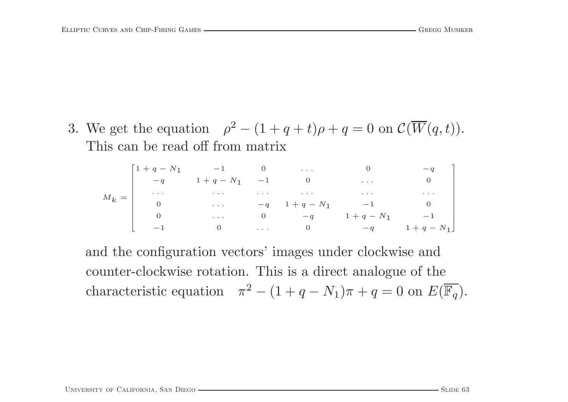3. We get the equation  $\rho^2 - (1 + q + t)\rho + q = 0$  on  $\mathcal{C}(\overline{W}(q,t))$ . This can be read off from matrix

$$
M_k = \begin{bmatrix} 1+q-N_1 & -1 & 0 & \cdots & 0 & -q \\ -q & 1+q-N_1 & -1 & 0 & \cdots & 0 \\ \cdots & \cdots & \cdots & \cdots & \cdots & \cdots & \cdots \\ 0 & \cdots & -q & 1+q-N_1 & -1 & 0 \\ 0 & \cdots & 0 & -q & 1+q-N_1 & -1 \\ -1 & 0 & \cdots & 0 & -q & 1+q-N_1 \end{bmatrix}
$$

and the configuration vectors' images under clockwise and counter-clockwise rotation. This is <sup>a</sup> direct analogue of the characteristic equation  $\pi^2 - (1 + q - N_1)\pi + q = 0$  on  $E(\overline{\mathbb{F}_q})$ .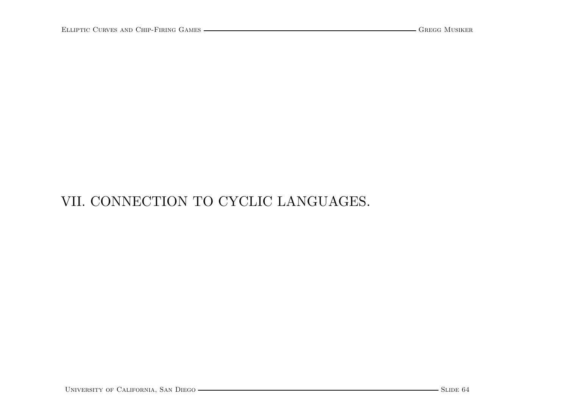## VII. CONNECTION TO CYCLIC LANGUAGES.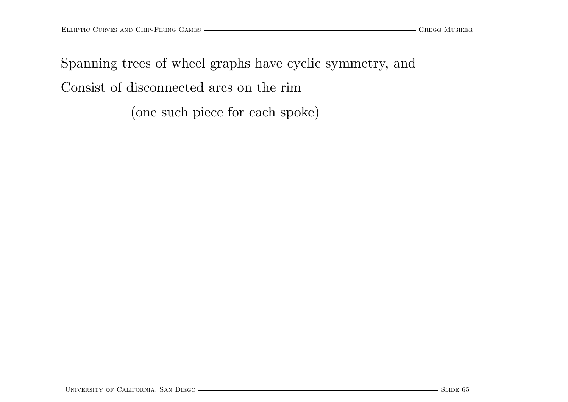Spanning trees of wheel graphs have cyclic symmetry, and Consist of disconnected arcs on the rim

(one such <sup>p</sup>iece for each spoke)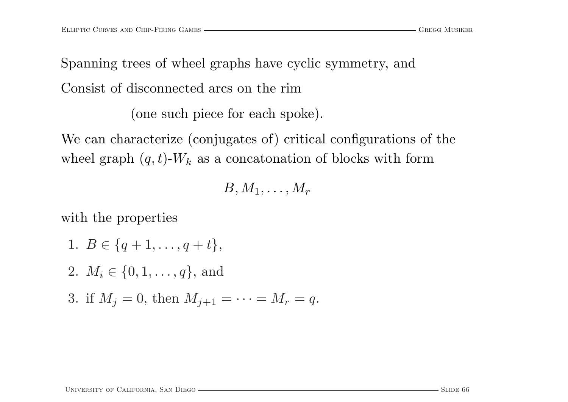Spanning trees of wheel graphs have cyclic symmetry, and Consist of disconnected arcs on the rim

(one such <sup>p</sup>iece for each spoke).

We can characterize (conjugates of) critical configurations of the wheel graph  $(q, t)$ -W<sub>k</sub> as a concatonation of blocks with form

 $B, M_1, \ldots, M_r$ 

with the properties

- 1.  $B \in \{q+1,\ldots,q+t\},\$
- 2.  $M_i \in \{0, 1, \ldots, q\}$ , and
- 3. if  $M_i = 0$ , then  $M_{i+1} = \cdots = M_r = q$ .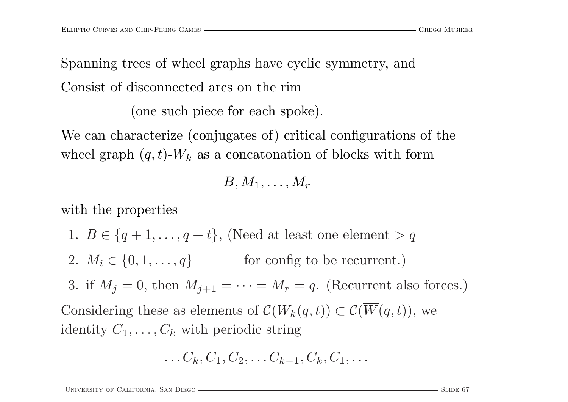Spanning trees of wheel graphs have cyclic symmetry, and Consist of disconnected arcs on the rim

(one such <sup>p</sup>iece for each spoke).

We can characterize (conjugates of) critical configurations of the wheel graph  $(q, t)$ -W<sub>k</sub> as a concatonation of blocks with form

$$
B,M_1,\ldots,M_r
$$

with the properties

- 1.  $B \in \{q+1,\ldots,q+t\}$ , (Need at least one element > q 2.  $M_i \in \{0, 1, \ldots, q\}$  for config to be recurrent.)
- 3. if  $M_i = 0$ , then  $M_{i+1} = \cdots = M_r = q$ . (Recurrent also forces.)

Considering these as elements of  $\mathcal{C}(W_k(q,t)) \subset \mathcal{C}(\overline{W}(q,t))$ , we identity  $C_1, \ldots, C_k$  with periodic string

$$
\ldots C_k, C_1, C_2, \ldots C_{k-1}, C_k, C_1, \ldots
$$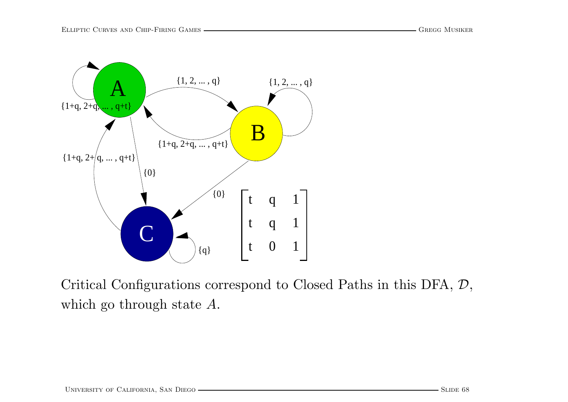

Critical Configurations correspond to Closed Paths in this DFA, D, which go through state A.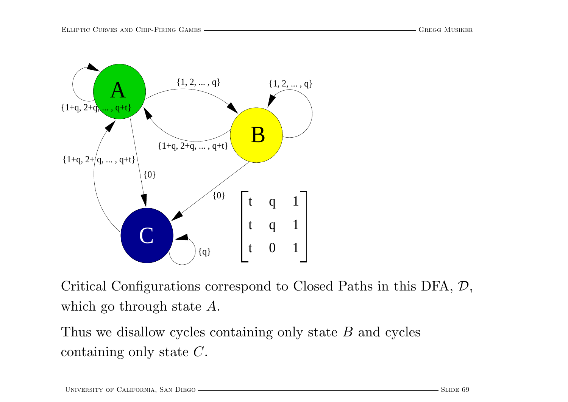

Critical Configurations correspond to Closed Paths in this DFA, D, which go through state A.

Thus we disallow cycles containing only state B and cycles containing only state C.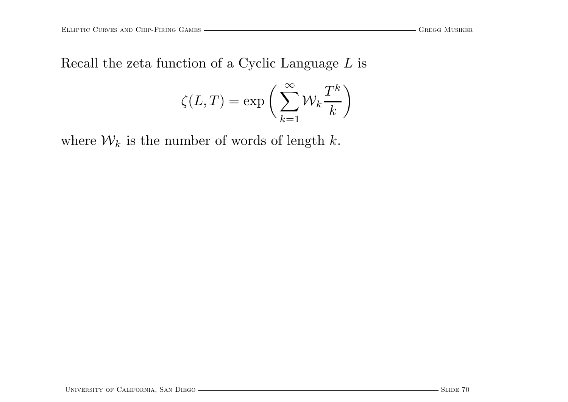Recall the zeta function of a Cyclic Language  $L$  is

$$
\zeta(L,T) = \exp\left(\sum_{k=1}^{\infty} \mathcal{W}_k \frac{T^k}{k}\right)
$$

where  $W_k$  is the number of words of length k.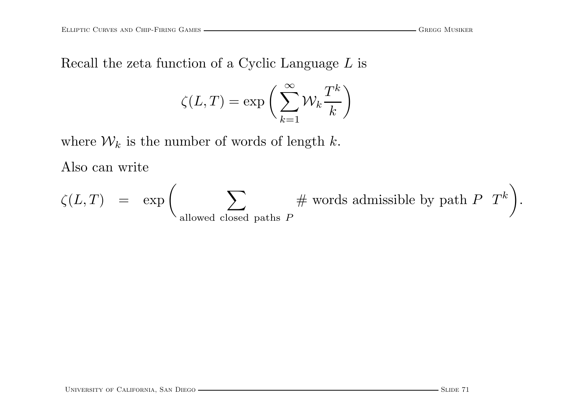Recall the zeta function of <sup>a</sup> Cyclic Language L is

$$
\zeta(L,T) = \exp\left(\sum_{k=1}^{\infty} \mathcal{W}_k \frac{T^k}{k}\right)
$$

where  $W_k$  is the number of words of length k.

Also can write

$$
\zeta(L,T) = \exp \bigg( \sum_{\text{allowed closed paths } P} \# \text{ words admissible by path } P \ T^k \bigg).
$$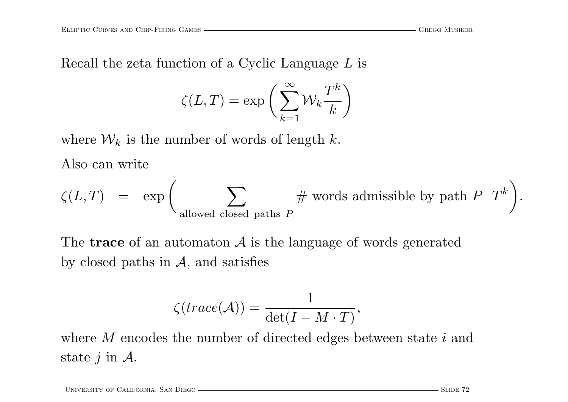Recall the zeta function of <sup>a</sup> Cyclic Language L is

$$
\zeta(L,T) = \exp\left(\sum_{k=1}^{\infty} \mathcal{W}_k \frac{T^k}{k}\right)
$$

where  $\mathcal{W}_k$  is the number of words of length k.

Also can write

$$
\zeta(L,T) = \exp\bigg(\sum_{\text{allowed closed paths } P} \# \text{ words admissible by path } P \ T^k\bigg).
$$

The trace of an automaton  $A$  is the language of words generated by closed paths in  $A$ , and satisfies

$$
\zeta (trace(\mathcal{A}))=\frac{1}{\det(I-M\cdot T)},
$$

where  $M$  encodes the number of directed edges between state  $i$  and state  $j$  in  $\mathcal{A}$ .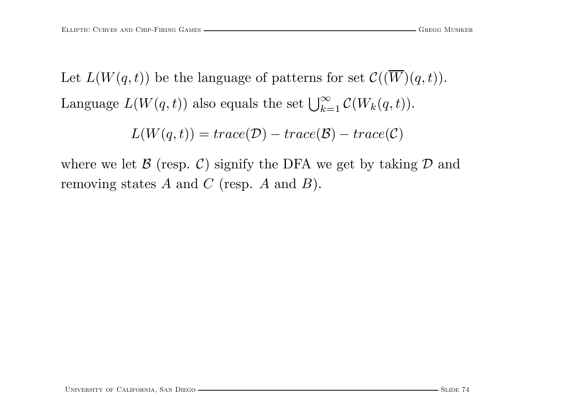$$
L(W(q,t)) = trace(\mathcal{D}) - trace(\mathcal{B}) - trace(\mathcal{C})
$$

where we let  $\mathcal{B}$  (resp. C) signify the DFA we get by taking  $\mathcal{D}$  and removing states  $A$  and  $C$  (resp.  $A$  and  $B$ ).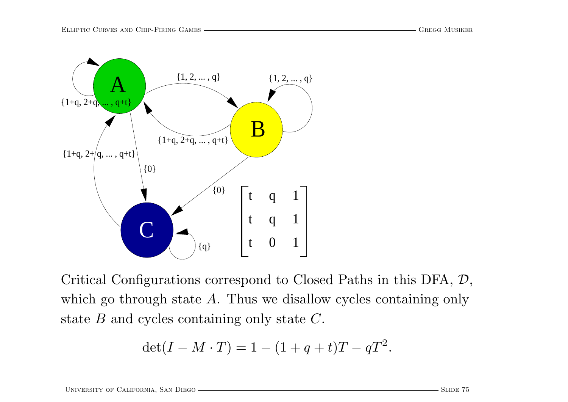

Critical Configurations correspond to Closed Paths in this DFA, D, which go through state A. Thus we disallow cycles containing only state B and cycles containing only state C.

$$
\det(I - M \cdot T) = 1 - (1 + q + t)T - qT^2.
$$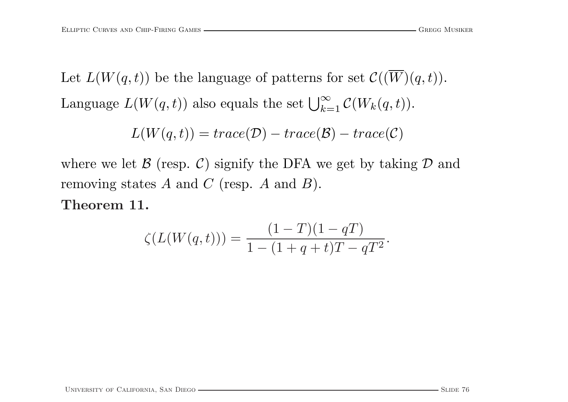$$
L(W(q,t)) = trace(\mathcal{D}) - trace(\mathcal{B}) - trace(\mathcal{C})
$$

where we let  $\mathcal{B}$  (resp. C) signify the DFA we get by taking  $\mathcal{D}$  and removing states  $A$  and  $C$  (resp.  $A$  and  $B$ ).

Theorem 11.

$$
\zeta(L(W(q,t))) = \frac{(1-T)(1-qT)}{1-(1+q+t)T-qT^2}.
$$